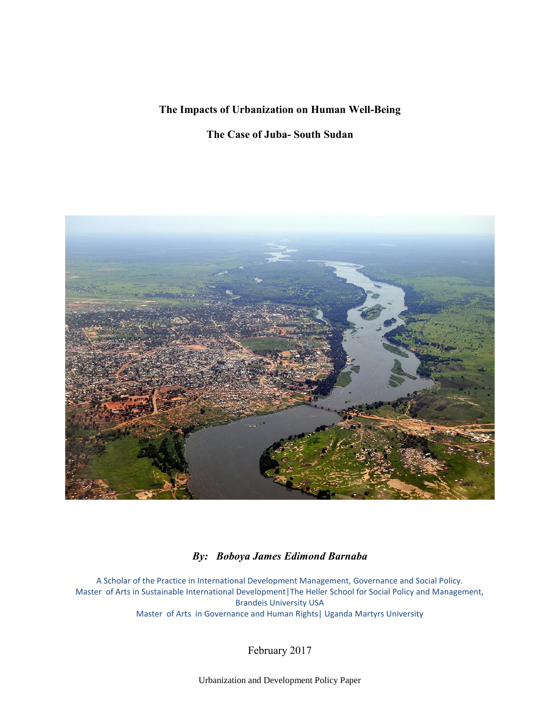# **The Impacts of Urbanization on Human Well-Being**

# **The Case of Juba- South Sudan**



# *By: Boboya James Edimond Barnaba*

A Scholar of the Practice in International Development Management, Governance and Social Policy. Master of Arts in Sustainable International Development|The Heller School for Social Policy and Management, Brandeis University USA Master of Arts in Governance and Human Rights| Uganda Martyrs University

February 2017

Urbanization and Development Policy Paper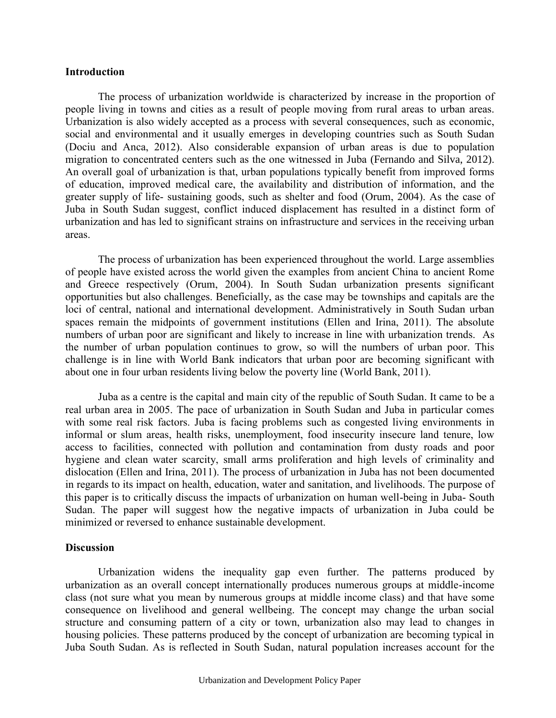#### **Introduction**

The process of urbanization worldwide is characterized by increase in the proportion of people living in towns and cities as a result of people moving from rural areas to urban areas. Urbanization is also widely accepted as a process with several consequences, such as economic, social and environmental and it usually emerges in developing countries such as South Sudan (Dociu and Anca, 2012). Also considerable expansion of urban areas is due to population migration to concentrated centers such as the one witnessed in Juba (Fernando and Silva, 2012). An overall goal of urbanization is that, urban populations typically benefit from improved forms of education, improved medical care, the availability and distribution of information, and the greater supply of life- sustaining goods, such as shelter and food (Orum, 2004). As the case of Juba in South Sudan suggest, conflict induced displacement has resulted in a distinct form of urbanization and has led to significant strains on infrastructure and services in the receiving urban areas.

The process of urbanization has been experienced throughout the world. Large assemblies of people have existed across the world given the examples from ancient China to ancient Rome and Greece respectively (Orum, 2004). In South Sudan urbanization presents significant opportunities but also challenges. Beneficially, as the case may be townships and capitals are the loci of central, national and international development. Administratively in South Sudan urban spaces remain the midpoints of government institutions (Ellen and Irina, 2011). The absolute numbers of urban poor are significant and likely to increase in line with urbanization trends. As the number of urban population continues to grow, so will the numbers of urban poor. This challenge is in line with World Bank indicators that urban poor are becoming significant with about one in four urban residents living below the poverty line (World Bank, 2011).

Juba as a centre is the capital and main city of the republic of South Sudan. It came to be a real urban area in 2005. The pace of urbanization in South Sudan and Juba in particular comes with some real risk factors. Juba is facing problems such as congested living environments in informal or slum areas, health risks, unemployment, food insecurity insecure land tenure, low access to facilities, connected with pollution and contamination from dusty roads and poor hygiene and clean water scarcity, small arms proliferation and high levels of criminality and dislocation (Ellen and Irina, 2011). The process of urbanization in Juba has not been documented in regards to its impact on health, education, water and sanitation, and livelihoods. The purpose of this paper is to critically discuss the impacts of urbanization on human well-being in Juba- South Sudan. The paper will suggest how the negative impacts of urbanization in Juba could be minimized or reversed to enhance sustainable development.

### **Discussion**

Urbanization widens the inequality gap even further. The patterns produced by urbanization as an overall concept internationally produces numerous groups at middle-income class (not sure what you mean by numerous groups at middle income class) and that have some consequence on livelihood and general wellbeing. The concept may change the urban social structure and consuming pattern of a city or town, urbanization also may lead to changes in housing policies. These patterns produced by the concept of urbanization are becoming typical in Juba South Sudan. As is reflected in South Sudan, natural population increases account for the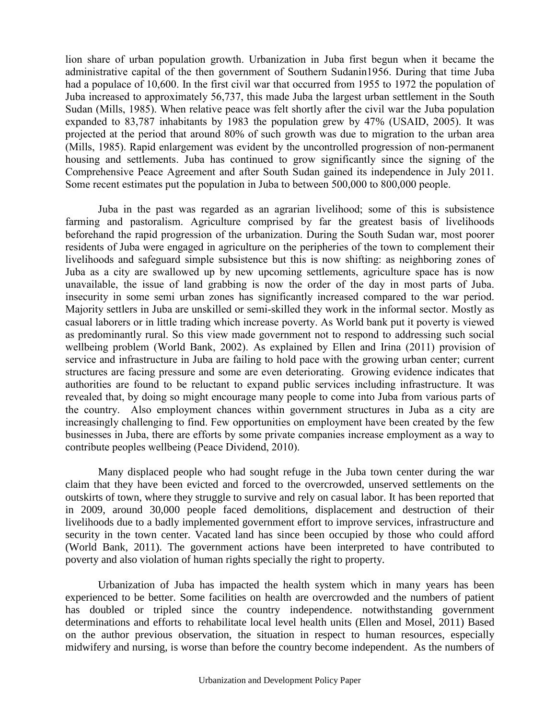lion share of urban population growth. Urbanization in Juba first begun when it became the administrative capital of the then government of Southern Sudanin1956. During that time Juba had a populace of 10,600. In the first civil war that occurred from 1955 to 1972 the population of Juba increased to approximately 56,737, this made Juba the largest urban settlement in the South Sudan (Mills, 1985). When relative peace was felt shortly after the civil war the Juba population expanded to 83,787 inhabitants by 1983 the population grew by 47% (USAID, 2005). It was projected at the period that around 80% of such growth was due to migration to the urban area (Mills, 1985). Rapid enlargement was evident by the uncontrolled progression of non-permanent housing and settlements. Juba has continued to grow significantly since the signing of the Comprehensive Peace Agreement and after South Sudan gained its independence in July 2011. Some recent estimates put the population in Juba to between 500,000 to 800,000 people.

Juba in the past was regarded as an agrarian livelihood; some of this is subsistence farming and pastoralism. Agriculture comprised by far the greatest basis of livelihoods beforehand the rapid progression of the urbanization. During the South Sudan war, most poorer residents of Juba were engaged in agriculture on the peripheries of the town to complement their livelihoods and safeguard simple subsistence but this is now shifting: as neighboring zones of Juba as a city are swallowed up by new upcoming settlements, agriculture space has is now unavailable, the issue of land grabbing is now the order of the day in most parts of Juba. insecurity in some semi urban zones has significantly increased compared to the war period. Majority settlers in Juba are unskilled or semi-skilled they work in the informal sector. Mostly as casual laborers or in little trading which increase poverty. As World bank put it poverty is viewed as predominantly rural. So this view made government not to respond to addressing such social wellbeing problem (World Bank, 2002). As explained by Ellen and Irina (2011) provision of service and infrastructure in Juba are failing to hold pace with the growing urban center; current structures are facing pressure and some are even deteriorating. Growing evidence indicates that authorities are found to be reluctant to expand public services including infrastructure. It was revealed that, by doing so might encourage many people to come into Juba from various parts of the country. Also employment chances within government structures in Juba as a city are increasingly challenging to find. Few opportunities on employment have been created by the few businesses in Juba, there are efforts by some private companies increase employment as a way to contribute peoples wellbeing (Peace Dividend, 2010).

Many displaced people who had sought refuge in the Juba town center during the war claim that they have been evicted and forced to the overcrowded, unserved settlements on the outskirts of town, where they struggle to survive and rely on casual labor. It has been reported that in 2009, around 30,000 people faced demolitions, displacement and destruction of their livelihoods due to a badly implemented government effort to improve services, infrastructure and security in the town center. Vacated land has since been occupied by those who could afford (World Bank, 2011). The government actions have been interpreted to have contributed to poverty and also violation of human rights specially the right to property.

Urbanization of Juba has impacted the health system which in many years has been experienced to be better. Some facilities on health are overcrowded and the numbers of patient has doubled or tripled since the country independence. notwithstanding government determinations and efforts to rehabilitate local level health units (Ellen and Mosel, 2011) Based on the author previous observation, the situation in respect to human resources, especially midwifery and nursing, is worse than before the country become independent. As the numbers of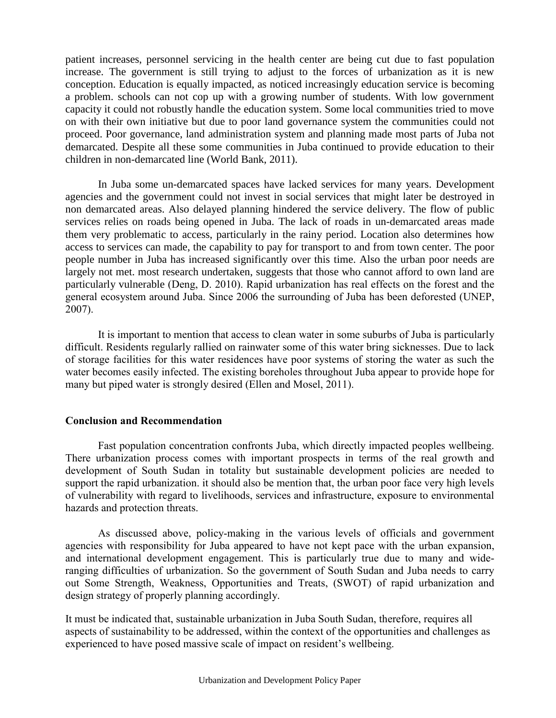patient increases, personnel servicing in the health center are being cut due to fast population increase. The government is still trying to adjust to the forces of urbanization as it is new conception. Education is equally impacted, as noticed increasingly education service is becoming a problem. schools can not cop up with a growing number of students. With low government capacity it could not robustly handle the education system. Some local communities tried to move on with their own initiative but due to poor land governance system the communities could not proceed. Poor governance, land administration system and planning made most parts of Juba not demarcated. Despite all these some communities in Juba continued to provide education to their children in non-demarcated line (World Bank, 2011).

In Juba some un-demarcated spaces have lacked services for many years. Development agencies and the government could not invest in social services that might later be destroyed in non demarcated areas. Also delayed planning hindered the service delivery. The flow of public services relies on roads being opened in Juba. The lack of roads in un-demarcated areas made them very problematic to access, particularly in the rainy period. Location also determines how access to services can made, the capability to pay for transport to and from town center. The poor people number in Juba has increased significantly over this time. Also the urban poor needs are largely not met. most research undertaken, suggests that those who cannot afford to own land are particularly vulnerable (Deng, D. 2010). Rapid urbanization has real effects on the forest and the general ecosystem around Juba. Since 2006 the surrounding of Juba has been deforested (UNEP, 2007).

It is important to mention that access to clean water in some suburbs of Juba is particularly difficult. Residents regularly rallied on rainwater some of this water bring sicknesses. Due to lack of storage facilities for this water residences have poor systems of storing the water as such the water becomes easily infected. The existing boreholes throughout Juba appear to provide hope for many but piped water is strongly desired (Ellen and Mosel, 2011).

### **Conclusion and Recommendation**

Fast population concentration confronts Juba, which directly impacted peoples wellbeing. There urbanization process comes with important prospects in terms of the real growth and development of South Sudan in totality but sustainable development policies are needed to support the rapid urbanization. it should also be mention that, the urban poor face very high levels of vulnerability with regard to livelihoods, services and infrastructure, exposure to environmental hazards and protection threats.

As discussed above, policy-making in the various levels of officials and government agencies with responsibility for Juba appeared to have not kept pace with the urban expansion, and international development engagement. This is particularly true due to many and wideranging difficulties of urbanization. So the government of South Sudan and Juba needs to carry out Some Strength, Weakness, Opportunities and Treats, (SWOT) of rapid urbanization and design strategy of properly planning accordingly.

It must be indicated that, sustainable urbanization in Juba South Sudan, therefore, requires all aspects of sustainability to be addressed, within the context of the opportunities and challenges as experienced to have posed massive scale of impact on resident's wellbeing.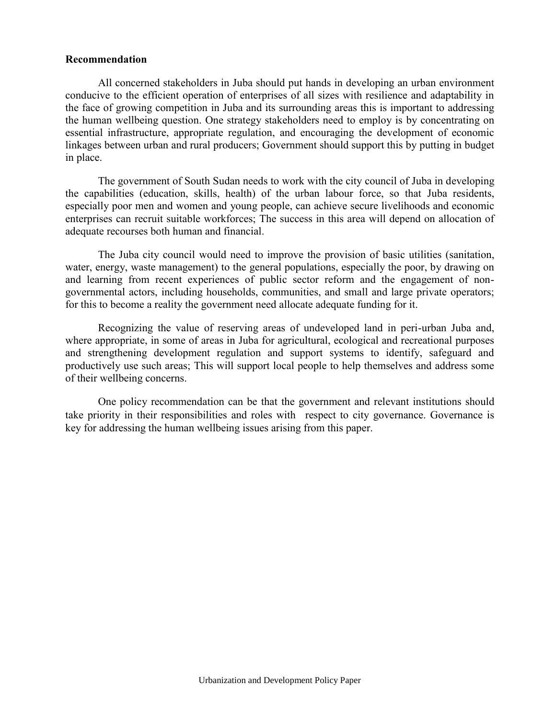#### **Recommendation**

All concerned stakeholders in Juba should put hands in developing an urban environment conducive to the efficient operation of enterprises of all sizes with resilience and adaptability in the face of growing competition in Juba and its surrounding areas this is important to addressing the human wellbeing question. One strategy stakeholders need to employ is by concentrating on essential infrastructure, appropriate regulation, and encouraging the development of economic linkages between urban and rural producers; Government should support this by putting in budget in place.

The government of South Sudan needs to work with the city council of Juba in developing the capabilities (education, skills, health) of the urban labour force, so that Juba residents, especially poor men and women and young people, can achieve secure livelihoods and economic enterprises can recruit suitable workforces; The success in this area will depend on allocation of adequate recourses both human and financial.

The Juba city council would need to improve the provision of basic utilities (sanitation, water, energy, waste management) to the general populations, especially the poor, by drawing on and learning from recent experiences of public sector reform and the engagement of nongovernmental actors, including households, communities, and small and large private operators; for this to become a reality the government need allocate adequate funding for it.

Recognizing the value of reserving areas of undeveloped land in peri-urban Juba and, where appropriate, in some of areas in Juba for agricultural, ecological and recreational purposes and strengthening development regulation and support systems to identify, safeguard and productively use such areas; This will support local people to help themselves and address some of their wellbeing concerns.

One policy recommendation can be that the government and relevant institutions should take priority in their responsibilities and roles with respect to city governance. Governance is key for addressing the human wellbeing issues arising from this paper.